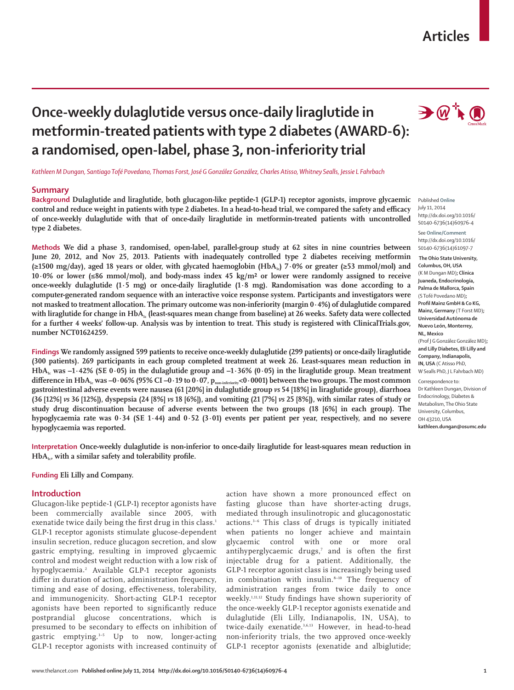# **Articles**

# **Once-weekly dulaglutide versus once-daily liraglutide in metformin-treated patients with type 2 diabetes (AWARD-6): a randomised, open-label, phase 3, non-inferiority trial**

*Kathleen M Dungan, Santiago Tofé Povedano, Thomas Forst, José G González González, Charles Atisso, Whitney Sealls, Jessie L Fahrbach*

## **Summary**

**Background Dulaglutide and liraglutide, both glucagon-like peptide-1 (GLP-1) receptor agonists, improve glycaemic**  control and reduce weight in patients with type 2 diabetes. In a head-to-head trial, we compared the safety and efficacy **of once-weekly dulaglutide with that of once-daily liraglutide in metformin-treated patients with uncontrolled type 2 diabetes.**

**Methods We did a phase 3, randomised, open-label, parallel-group study at 62 sites in nine countries between June 20, 2012, and Nov 25, 2013. Patients with inadequately controlled type 2 diabetes receiving metformin**  (≥1500 mg/day), aged 18 years or older, with glycated haemoglobin (HbA<sub>1c</sub>) 7·0% or greater (≥53 mmol/mol) and **10·0% or lower (≤86 mmol/mol), and body-mass index 45 kg/m² or lower were randomly assigned to receive once-weekly dulaglutide (1·5 mg) or once-daily liraglutide (1·8 mg). Randomisation was done according to a computer-generated random sequence with an interactive voice response system. Participants and investigators were not masked to treatment allocation. The primary outcome was non-inferiority (margin 0·4%) of dulaglutide compared**  with liraglutide for change in HbA<sub>1c</sub> (least-squares mean change from baseline) at 26 weeks. Safety data were collected **for a further 4 weeks' follow-up. Analysis was by intention to treat. This study is registered with ClinicalTrials.gov, number NCT01624259.**

**Findings We randomly assigned 599 patients to receive once-weekly dulaglutide (299 patients) or once-daily liraglutide (300 patients). 269 participants in each group completed treatment at week 26. Least-squares mean reduction in**  HbA<sub>1c</sub> was  $-1.42\%$  (SE 0.05) in the dulaglutide group and  $-1.36\%$  (0.05) in the liraglutide group. Mean treatment difference in  $HbA_1$ <sub>c</sub> was  $-0.06\%$  (95% CI  $-0.19$  to  $0.07$ ,  $p_{non-inferiony}$ <0.0001) between the two groups. The most common **gastrointestinal adverse events were nausea (61 [20%] in dulaglutide group** *vs* **54 [18%] in liraglutide group), diarrhoea (36 [12%]** *vs* **36 [12%]), dyspepsia (24 [8%]** *vs* **18 [6%]), and vomiting (21 [7%]** *vs* **25 [8%]), with similar rates of study or study drug discontinuation because of adverse events between the two groups (18 [6%] in each group). The hypoglycaemia rate was 0·34 (SE 1·44) and 0·52 (3·01) events per patient per year, respectively, and no severe hypoglycaemia was reported.**

**Interpretation Once-weekly dulaglutide is non-inferior to once-daily liraglutide for least-squares mean reduction in**  HbA<sub>1c</sub>, with a similar safety and tolerability profile.

#### **Funding Eli Lilly and Company.**

#### **Introduction**

Glucagon-like peptide-1 (GLP-1) receptor agonists have been commercially available since 2005, with exenatide twice daily being the first drug in this class.<sup>1</sup> GLP-1 receptor agonists stimulate glucose-dependent insulin secretion, reduce glucagon secretion, and slow gastric emptying, resulting in improved glycaemic control and modest weight reduction with a low risk of hypoglycaemia.2 Available GLP-1 receptor agonists differ in duration of action, administration frequency, timing and ease of dosing, effectiveness, tolerability, and immunogenicity. Short-acting GLP-1 receptor agonists have been reported to significantly reduce postprandial glucose concentrations, which is presumed to be secondary to effects on inhibition of gastric emptying.3–5 Up to now, longer-acting GLP-1 receptor agonists with increased continuity of

action have shown a more pronounced effect on fasting glucose than have shorter-acting drugs, mediated through insulinotropic and glucagonostatic actions.3–6 This class of drugs is typically initiated when patients no longer achieve and maintain glycaemic control with one or more oral antihyperglycaemic drugs, $\theta$  and is often the first injectable drug for a patient. Additionally, the GLP-1 receptor agonist class is increasingly being used in combination with insulin.<sup>8-10</sup> The frequency of administration ranges from twice daily to once weekly.<sup>1,11,12</sup> Study findings have shown superiority of the once-weekly GLP-1 receptor agonists exenatide and dulaglutide (Eli Lilly, Indianapolis, IN, USA), to twice-daily exenatide.<sup>3,6,13</sup> However, in head-to-head non-inferiority trials, the two approved once-weekly GLP-1 receptor agonists (exenatide and albiglutide;





Published **Online** July 11, 2014 http://dx.doi.org/10.1016/ S0140-6736(14)60976-4

See **Online/Comment** http://dx.doi.org/10.1016/ S0140-6736(14)61097-7

 **The Ohio State University, Columbus, OH, USA** (K M Dungan MD)**; Clínica Juaneda, Endocrinología, Palma de Mallorca, Spain** (S Tofé Povedano MD)**; Profi l Mainz GmbH & Co KG, Mainz, Germany** (T Forst MD)**; Universidad AutÓnoma de Nuevo LeÓn, Monterrey, NL, Mexico** (Prof J G González González MD)**; and Lilly Diabetes, Eli Lilly and Company, Indianapolis, IN, USA** (C Atisso PhD, W Sealls PhD, J L Fahrbach MD) Correspondence to:

Dr Kathleen Dungan, Division of Endocrinology, Diabetes & Metabolism, The Ohio State University, Columbus, OH 43210, USA **kathleen.dungan@osumc.edu**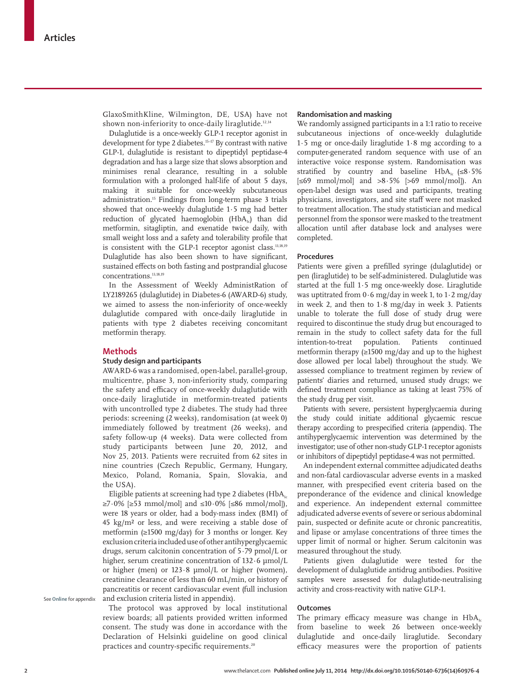GlaxoSmithKline, Wilmington, DE, USA) have not shown non-inferiority to once-daily liraglutide.<sup>12,14</sup>

Dulaglutide is a once-weekly GLP-1 receptor agonist in development for type 2 diabetes.<sup>15-17</sup> By contrast with native GLP-1, dulaglutide is resistant to dipeptidyl peptidase-4 degradation and has a large size that slows absorption and minimises renal clearance, resulting in a soluble formulation with a prolonged half-life of about 5 days, making it suitable for once-weekly subcutaneous administration.15 Findings from long-term phase 3 trials showed that once-weekly dulaglutide 1·5 mg had better reduction of glycated haemoglobin  $(HbA<sub>i</sub>)$  than did metformin, sitagliptin, and exenatide twice daily, with small weight loss and a safety and tolerability profile that is consistent with the GLP-1 receptor agonist class.<sup>13,18,19</sup> Dulaglutide has also been shown to have significant, sustained effects on both fasting and postprandial glucose concentrations.<sup>13,18,19</sup>

In the Assessment of Weekly AdministRation of LY2189265 (dulaglutide) in Diabetes-6 (AWARD-6) study, we aimed to assess the non-inferiority of once-weekly dulaglutide compared with once-daily liraglutide in patients with type 2 diabetes receiving concomitant metformin therapy.

## **Methods**

#### **Study design and participants**

AWARD-6 was a randomised, open-label, parallel-group, multicentre, phase 3, non-inferiority study, comparing the safety and efficacy of once-weekly dulaglutide with once-daily liraglutide in metformin-treated patients with uncontrolled type 2 diabetes. The study had three periods: screening (2 weeks), randomisation (at week 0) immediately followed by treatment (26 weeks), and safety follow-up (4 weeks). Data were collected from study participants between June 20, 2012, and Nov 25, 2013. Patients were recruited from 62 sites in nine countries (Czech Republic, Germany, Hungary, Mexico, Poland, Romania, Spain, Slovakia, and the USA).

Eligible patients at screening had type 2 diabetes (HbA<sub>1c</sub>  $\geq$ 7·0% [ $\geq$ 53 mmol/mol] and  $\leq$ 10·0% [ $\leq$ 86 mmol/mol]), were 18 years or older, had a body-mass index (BMI) of  $45 \text{ kg/m}^2$  or less, and were receiving a stable dose of metformin (≥1500 mg/day) for 3 months or longer. Key exclusion criteria included use of other antihyperglycaemic drugs, serum calcitonin concentration of 5·79 pmol/L or higher, serum creatinine concentration of 132·6 μmol/L or higher (men) or 123·8 μmol/L or higher (women), creatinine clearance of less than 60 mL/min, or history of pancreatitis or recent cardiovascular event (full inclusion and exclusion criteria listed in appendix).

The protocol was approved by local institutional review boards; all patients provided written informed consent. The study was done in accordance with the Declaration of Helsinki guideline on good clinical practices and country-specific requirements.<sup>20</sup>

## **Randomisation and masking**

We randomly assigned participants in a 1:1 ratio to receive subcutaneous injections of once-weekly dulaglutide 1·5 mg or once-daily liraglutide 1·8 mg according to a computer-generated random sequence with use of an interactive voice response system. Randomisation was stratified by country and baseline HbA<sub>1c</sub> (≤8.5% [≤69 mmol/mol] and >8·5% [>69 mmol/mol]). An open-label design was used and participants, treating physicians, investigators, and site staff were not masked to treatment allocation. The study statistician and medical personnel from the sponsor were masked to the treatment allocation until after database lock and analyses were completed.

#### **Procedures**

Patients were given a prefilled syringe (dulaglutide) or pen (liraglutide) to be self-administered. Dulaglutide was started at the full 1·5 mg once-weekly dose. Liraglutide was uptitrated from  $0.6$  mg/day in week 1, to  $1.2$  mg/day in week 2, and then to 1·8 mg/day in week 3. Patients unable to tolerate the full dose of study drug were required to discontinue the study drug but encouraged to remain in the study to collect safety data for the full intention-to-treat population. Patients continued metformin therapy  $(≥1500 \text{ mg/day}$  and up to the highest dose allowed per local label) throughout the study. We assessed compliance to treatment regimen by review of patients' diaries and returned, unused study drugs; we defined treatment compliance as taking at least 75% of the study drug per visit.

Patients with severe, persistent hyperglycaemia during the study could initiate additional glycaemic rescue therapy according to prespecified criteria (appendix). The antihyperglycaemic intervention was determined by the investigator; use of other non-study GLP-1 receptor agonists or inhibitors of dipeptidyl peptidase-4 was not permitted.

An independent external committee adjudicated deaths and non-fatal cardiovascular adverse events in a masked manner, with prespecified event criteria based on the preponderance of the evidence and clinical knowledge and experience. An independent external committee adjudicated adverse events of severe or serious abdominal pain, suspected or definite acute or chronic pancreatitis, and lipase or amylase concentrations of three times the upper limit of normal or higher. Serum calcitonin was measured throughout the study.

Patients given dulaglutide were tested for the development of dulaglutide antidrug antibodies. Positive samples were assessed for dulaglutide-neutralising activity and cross-reactivity with native GLP-1.

## **Outcomes**

The primary efficacy measure was change in  $HbA_{1c}$ from baseline to week 26 between once-weekly dulaglutide and once-daily liraglutide. Secondary efficacy measures were the proportion of patients

See **Online** for appendix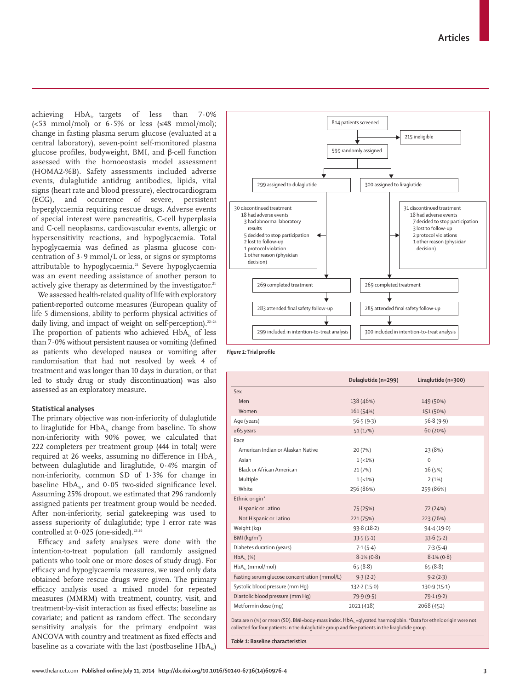achieving  $HbA<sub>i</sub>$  targets of less than 7.0%  $\left(\frac{53 \text{ mmol/mol}}{100}\right)$  or 6.5% or less  $\left(\frac{48 \text{ mmol/mol}}{100}\right)$ ; change in fasting plasma serum glucose (evaluated at a central laboratory), seven-point self-monitored plasma glucose profiles, bodyweight, BMI, and β-cell function assessed with the homoeostasis model assessment (HOMA2-%B). Safety assessments included adverse events, dulaglutide antidrug antibodies, lipids, vital signs (heart rate and blood pressure), electrocardiogram (ECG), and occurrence of severe, persistent hyperglycaemia requiring rescue drugs. Adverse events of special interest were pancreatitis, C-cell hyperplasia and C-cell neoplasms, cardiovascular events, allergic or hypersensitivity reactions, and hypoglycaemia. Total hypoglycaemia was defined as plasma glucose concentration of 3·9 mmol/L or less, or signs or symptoms attributable to hypoglycaemia.<sup>21</sup> Severe hypoglycaemia was an event needing assistance of another person to actively give therapy as determined by the investigator.<sup>21</sup>

We assessed health-related quality of life with exploratory patient-reported outcome measures (European quality of life 5 dimensions, ability to perform physical activities of daily living, and impact of weight on self-perception). $22-24$ The proportion of patients who achieved  $HbA<sub>i</sub>$  of less than  $7.0\%$  without persistent nausea or vomiting (defined as patients who developed nausea or vomiting after randomisation that had not resolved by week 4 of treatment and was longer than 10 days in duration, or that led to study drug or study discontinuation) was also assessed as an exploratory measure.

# **Statistical analyses**

The primary objective was non-inferiority of dulaglutide to liraglutide for  $HbA_i$  change from baseline. To show non-inferiority with 90% power, we calculated that 222 completers per treatment group (444 in total) were required at 26 weeks, assuming no difference in  $HbA<sub>1c</sub>$ between dulaglutide and liraglutide, 0·4% margin of non-inferiority, common SD of 1·3% for change in baseline HbA<sub>1c</sub>, and  $0.05$  two-sided significance level. Assuming 25% dropout, we estimated that 296 randomly assigned patients per treatment group would be needed. After non-inferiority, serial gatekeeping was used to assess superiority of dulaglutide; type I error rate was controlled at  $0.025$  (one-sided).<sup>25,26</sup>

Efficacy and safety analyses were done with the intention-to-treat population (all randomly assigned patients who took one or more doses of study drug). For efficacy and hypoglycaemia measures, we used only data obtained before rescue drugs were given. The primary effi cacy analysis used a mixed model for repeated measures (MMRM) with treatment, country, visit, and treatment-by-visit interaction as fixed effects; baseline as covariate; and patient as random effect. The secondary sensitivity analysis for the primary endpoint was ANCOVA with country and treatment as fixed effects and baseline as a covariate with the last (postbaseline  $HbA<sub>i</sub>$ )



**Figure 1:** Trial profile

|                                              | Dulaglutide (n=299) | Liraglutide (n=300) |
|----------------------------------------------|---------------------|---------------------|
| Sex                                          |                     |                     |
| Men                                          | 138 (46%)           | 149 (50%)           |
| Women                                        | 161 (54%)           | 151 (50%)           |
| Age (years)                                  | 56.5(9.3)           | 56.8(9.9)           |
| $\ge 65$ years                               | 51(17%)             | 60 (20%)            |
| Race                                         |                     |                     |
| American Indian or Alaskan Native            | 20(7%)              | 23 (8%)             |
| Asian                                        | $1(-1%)$            | $\Omega$            |
| Black or African American                    | 21(7%)              | 16 (5%)             |
| Multiple                                     | $1(-1%)$            | 2(1%)               |
| White                                        | 256 (86%)           | 259 (86%)           |
| Ethnic origin*                               |                     |                     |
| Hispanic or Latino                           | 75 (25%)            | 72 (24%)            |
| Not Hispanic or Latino                       | 221 (75%)           | 223 (76%)           |
| Weight (kg)                                  | 93.8(18.2)          | 94.4(19.0)          |
| BMl (kg/m <sup>2</sup> )                     | 33.5(5.1)           | 33.6(5.2)           |
| Diabetes duration (years)                    | 7.1(5.4)            | 7.3(5.4)            |
| HbA <sub>v</sub> (%)                         | $8.1\% (0.8)$       | $8.1\%$ (0.8)       |
| $HbA_{1}$ (mmol/mol)                         | 65(8.8)             | 65(8.8)             |
| Fasting serum glucose concentration (mmol/L) | 9.3(2.2)            | 9.2(2.3)            |
| Systolic blood pressure (mm Hq)              | 132.2(15.0)         | 130.9 (15.1)        |
| Diastolic blood pressure (mm Hq)             | 79.9(9.5)           | 79.1(9.2)           |
| Metformin dose (mq)                          | 2021 (418)          | 2068 (452)          |

Data are n (%) or mean (SD). BMI=body-mass index. HbA<sub>1c</sub>=glycated haemoglobin. \*Data for ethnic origin were not collected for four patients in the dulaglutide group and five patients in the liraglutide group.

*Table 1:* **Baseline characteristics**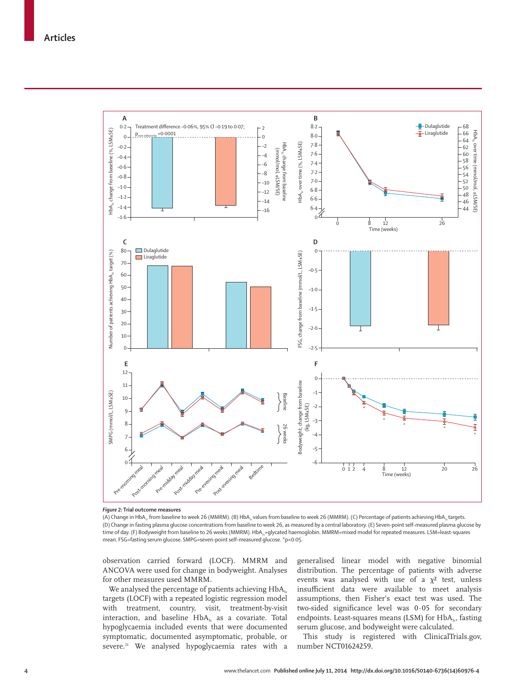

*Figure 2:* **Trial outcome measures**

(A) Change in HbA<sub>1</sub>, from baseline to week 26 (MMRM). (B) HbA<sub>1</sub>, values from baseline to week 26 (MMRM). (C) Percentage of patients achieving HbA<sub>1</sub>, targets. (D) Change in fasting plasma glucose concentrations from baseline to week 26, as measured by a central laboratory. (E) Seven-point self-measured plasma glucose by time of day. (F) Bodyweight from baseline to 26 weeks (MMRM). HbA<sub>1z</sub>=glycated haemoglobin. MMRM=mixed model for repeated measures. LSM=least-squares mean. FSG=fasting serum glucose. SMPG=seven-point self-measured glucose. \*p<0·05.

observation carried forward (LOCF). MMRM and ANCOVA were used for change in bodyweight. Analyses for other measures used MMRM.

We analysed the percentage of patients achieving  $HbA<sub>1c</sub>$ targets (LOCF) with a repeated logistic regression model with treatment, country, visit, treatment-by-visit interaction, and baseline  $HbA_{1c}$  as a covariate. Total hypoglycaemia included events that were documented symptomatic, documented asymptomatic, probable, or severe.<sup>21</sup> We analysed hypoglycaemia rates with a generalised linear model with negative binomial distribution. The percentage of patients with adverse events was analysed with use of a  $\chi^2$  test, unless insufficient data were available to meet analysis assumptions, then Fisher's exact test was used. The two-sided significance level was  $0.05$  for secondary endpoints. Least-squares means (LSM) for  $HbA_{1c}$ , fasting serum glucose, and bodyweight were calculated.

This study is registered with ClinicalTrials.gov, number NCT01624259.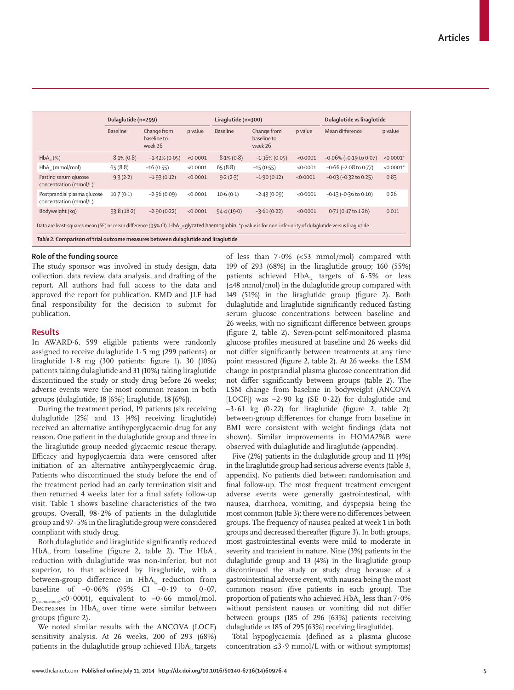|                                                                                                                                                                           | Dulaglutide (n=299) |                                       |          | Liraglutide (n=300) |                                       |          | Dulaglutide vs liraglutide      |            |
|---------------------------------------------------------------------------------------------------------------------------------------------------------------------------|---------------------|---------------------------------------|----------|---------------------|---------------------------------------|----------|---------------------------------|------------|
|                                                                                                                                                                           | Baseline            | Change from<br>baseline to<br>week 26 | p value  | <b>Baseline</b>     | Change from<br>baseline to<br>week 26 | p value  | Mean difference                 | p value    |
| $HbA_{1c}(%)$                                                                                                                                                             | $8.1\%$ (0.8)       | $-1.42\%$ (0.05)                      | < 0.0001 | $8.1\% (0.8)$       | $-1.36\%$ (0.05)                      | < 0.0001 | $-0.06\%$ ( $-0.19$ to 0.07)    | $<0.0001*$ |
| $HbA_{1c}$ (mmol/mol)                                                                                                                                                     | 65(8.8)             | $-16(0.55)$                           | < 0.0001 | 65(8.8)             | $-15(0.55)$                           | < 0.0001 | $-0.66$ ( $-2.08$ to 0.77)      | $<0.0001*$ |
| Fasting serum glucose<br>concentration (mmol/L)                                                                                                                           | 9.3(2.2)            | $-1.93(0.12)$                         | < 0.0001 | 9.2(2.3)            | $-1.90(0.12)$                         | < 0.0001 | $-0.03(-0.32 \text{ to } 0.25)$ | 0.83       |
| Postprandial plasma glucose<br>concentration (mmol/L)                                                                                                                     | $10-7(0-1)$         | $-2.56(0.09)$                         | < 0.0001 | 10.6(0.1)           | $-2.43(0.09)$                         | < 0.0001 | $-0.13$ ( $-0.36$ to $0.10$ )   | 0.26       |
| Bodyweight (kg)                                                                                                                                                           | 93.8(18.2)          | $-2.90(0.22)$                         | < 0.0001 | 94.4(19.0)          | $-3.61(0.22)$                         | < 0.0001 | $0.71(0.17 \text{ to } 1.26)$   | 0.011      |
| Data are least-squares mean (SE) or mean difference (95% CI). HbA <sub>12</sub> =qlycated haemoglobin. *p value is for non-inferiority of dulaqlutide versus liraqlutide. |                     |                                       |          |                     |                                       |          |                                 |            |
| Table 2: Comparison of trial outcome measures between dulaglutide and liraglutide                                                                                         |                     |                                       |          |                     |                                       |          |                                 |            |

# **Role of the funding source**

The study sponsor was involved in study design, data collection, data review, data analysis, and drafting of the report. All authors had full access to the data and approved the report for publication. KMD and JLF had final responsibility for the decision to submit for publication.

## **Results**

In AWARD-6, 599 eligible patients were randomly assigned to receive dulaglutide 1·5 mg (299 patients) or liraglutide  $1.8 \text{ mg}$  (300 patients; figure 1). 30 (10%) patients taking dulaglutide and 31 (10%) taking liraglutide discontinued the study or study drug before 26 weeks; adverse events were the most common reason in both groups (dulaglutide, 18 [6%]; liraglutide, 18 [6%]).

During the treatment period, 19 patients (six receiving dulaglutide [2%] and 13 [4%] receiving liraglutide) received an alternative antihyperglycaemic drug for any reason. One patient in the dulaglutide group and three in the liraglutide group needed glycaemic rescue therapy. Efficacy and hypoglycaemia data were censored after initiation of an alternative antihyperglycaemic drug. Patients who discontinued the study before the end of the treatment period had an early termination visit and then returned 4 weeks later for a final safety follow-up visit. Table 1 shows baseline characteristics of the two groups. Overall, 98·2% of patients in the dulaglutide group and 97·5% in the liraglutide group were considered compliant with study drug.

Both dulaglutide and liraglutide significantly reduced  $HbA<sub>1c</sub>$  from baseline (figure 2, table 2). The  $HbA<sub>1c</sub>$ reduction with dulaglutide was non-inferior, but not superior, to that achieved by liraglutide, with a between-group difference in  $HbA_{1c}$  reduction from baseline of  $-0.06\%$  (95% CI  $-0.19$  to 0.07,  $p_{\text{non-inferiority}}$ <0.0001), equivalent to -0.66 mmol/mol. Decreases in  $HbA_{1c}$  over time were similar between groups (figure 2).

We noted similar results with the ANCOVA (LOCF) sensitivity analysis. At 26 weeks, 200 of 293 (68%) patients in the dulaglutide group achieved  $HbA<sub>1c</sub>$  targets of less than 7·0% (<53 mmol/mol) compared with 199 of 293 (68%) in the liraglutide group; 160 (55%) patients achieved  $HbA<sub>1c</sub>$  targets of 6.5% or less (≤48 mmol/mol) in the dulaglutide group compared with 149 (51%) in the liraglutide group (figure 2). Both dulaglutide and liraglutide significantly reduced fasting serum glucose concentrations between baseline and 26 weeks, with no significant difference between groups (figure 2, table 2). Seven-point self-monitored plasma glucose profiles measured at baseline and 26 weeks did not differ significantly between treatments at any time point measured (figure 2, table 2). At 26 weeks, the LSM change in postprandial plasma glucose concentration did not differ significantly between groups (table 2). The LSM change from baseline in bodyweight (ANCOVA [LOCF]) was –2·90 kg (SE 0·22) for dulaglutide and  $-3.61$  kg (0.22) for liraglutide (figure 2, table 2); between-group differences for change from baseline in BMI were consistent with weight findings (data not shown). Similar improvements in HOMA2%B were observed with dulaglutide and liraglutide (appendix).

Five (2%) patients in the dulaglutide group and 11 (4%) in the liraglutide group had serious adverse events (table 3, appendix). No patients died between randomisation and final follow-up. The most frequent treatment emergent adverse events were generally gastrointestinal*,* with nausea, diarrhoea, vomiting, and dyspepsia being the most common (table 3); there were no differences between groups. The frequency of nausea peaked at week 1 in both groups and decreased thereafter (figure 3). In both groups, most gastrointestinal events were mild to moderate in severity and transient in nature. Nine (3%) patients in the dulaglutide group and 13 (4%) in the liraglutide group discontinued the study or study drug because of a gastrointestinal adverse event, with nausea being the most common reason (five patients in each group). The proportion of patients who achieved  $HbA<sub>i</sub>$  less than 7 $\cdot$ 0% without persistent nausea or vomiting did not differ between groups (185 of 296 [63%] patients receiving dulaglutide *vs* 185 of 295 [63%] receiving liraglutide).

Total hypoglycaemia (defined as a plasma glucose concentration  $\leq$ 3.9 mmol/L with or without symptoms)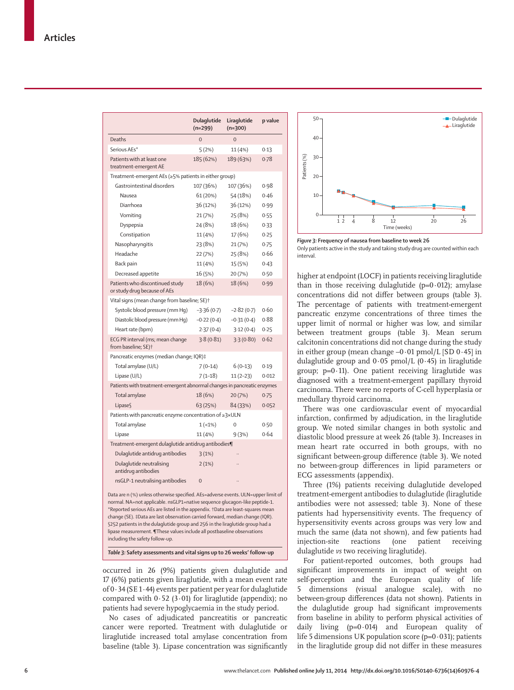|                                                                                                                                                                                                                                                                                                                                                                                                                                                                                                                                   | Dulaglutide<br>$(n=299)$ | Liraglutide<br>$(n=300)$ | p value |  |  |  |  |  |
|-----------------------------------------------------------------------------------------------------------------------------------------------------------------------------------------------------------------------------------------------------------------------------------------------------------------------------------------------------------------------------------------------------------------------------------------------------------------------------------------------------------------------------------|--------------------------|--------------------------|---------|--|--|--|--|--|
| Deaths                                                                                                                                                                                                                                                                                                                                                                                                                                                                                                                            | $\Omega$                 | $\overline{O}$           |         |  |  |  |  |  |
| Serious AEs*                                                                                                                                                                                                                                                                                                                                                                                                                                                                                                                      | 5(2%)                    | 11 (4%)                  | 0.13    |  |  |  |  |  |
| Patients with at least one<br>treatment-emergent AE                                                                                                                                                                                                                                                                                                                                                                                                                                                                               | 185 (62%)                | 189 (63%)                | 0.78    |  |  |  |  |  |
| Treatment-emergent AEs (≥5% patients in either group)                                                                                                                                                                                                                                                                                                                                                                                                                                                                             |                          |                          |         |  |  |  |  |  |
| Gastrointestinal disorders                                                                                                                                                                                                                                                                                                                                                                                                                                                                                                        | 107 (36%)                | 107 (36%)                | 0.98    |  |  |  |  |  |
| Nausea                                                                                                                                                                                                                                                                                                                                                                                                                                                                                                                            | 61 (20%)                 | 54 (18%)                 | 0.46    |  |  |  |  |  |
| Diarrhoea                                                                                                                                                                                                                                                                                                                                                                                                                                                                                                                         | 36 (12%)                 | 36 (12%)                 | 0.99    |  |  |  |  |  |
| Vomiting                                                                                                                                                                                                                                                                                                                                                                                                                                                                                                                          | 21 (7%)                  | 25 (8%)                  | 0.55    |  |  |  |  |  |
| Dyspepsia                                                                                                                                                                                                                                                                                                                                                                                                                                                                                                                         | 24 (8%)                  | 18 (6%)                  | 0.33    |  |  |  |  |  |
| Constipation                                                                                                                                                                                                                                                                                                                                                                                                                                                                                                                      | 11 (4%)                  | 17 (6%)                  | 0.25    |  |  |  |  |  |
| Nasopharyngitis                                                                                                                                                                                                                                                                                                                                                                                                                                                                                                                   | 23 (8%)                  | 21 (7%)                  | 0.75    |  |  |  |  |  |
| Headache                                                                                                                                                                                                                                                                                                                                                                                                                                                                                                                          | 22 (7%)                  | 25 (8%)                  | 0.66    |  |  |  |  |  |
| Back pain                                                                                                                                                                                                                                                                                                                                                                                                                                                                                                                         | 11 (4%)                  | 15 (5%)                  | 0.43    |  |  |  |  |  |
| Decreased appetite                                                                                                                                                                                                                                                                                                                                                                                                                                                                                                                | 16 (5%)                  | 20 (7%)                  | 0.50    |  |  |  |  |  |
| Patients who discontinued study<br>or study drug because of AEs                                                                                                                                                                                                                                                                                                                                                                                                                                                                   | 18 (6%)                  | 18 (6%)                  | 0.99    |  |  |  |  |  |
| Vital signs (mean change from baseline; SE)+                                                                                                                                                                                                                                                                                                                                                                                                                                                                                      |                          |                          |         |  |  |  |  |  |
| Systolic blood pressure (mm Hq)                                                                                                                                                                                                                                                                                                                                                                                                                                                                                                   | $-3.36(0.7)$             | $-2.82(0.7)$             | 0.60    |  |  |  |  |  |
| Diastolic blood pressure (mm Hq)                                                                                                                                                                                                                                                                                                                                                                                                                                                                                                  | $-0.22(0.4)$             | $-0.31(0.4)$             | 0.88    |  |  |  |  |  |
| Heart rate (bpm)                                                                                                                                                                                                                                                                                                                                                                                                                                                                                                                  | 2.37(0.4)                | 3.12(0.4)                | 0.25    |  |  |  |  |  |
| ECG PR interval (ms; mean change<br>from baseline; SE) <sup>+</sup>                                                                                                                                                                                                                                                                                                                                                                                                                                                               | 3.8(0.81)                | 3.3(0.80)                | 0.62    |  |  |  |  |  |
| Pancreatic enzymes (median change; IQR)‡                                                                                                                                                                                                                                                                                                                                                                                                                                                                                          |                          |                          |         |  |  |  |  |  |
| Total amylase (U/L)                                                                                                                                                                                                                                                                                                                                                                                                                                                                                                               | $7(0-14)$                | $6(0-13)$                | 0.19    |  |  |  |  |  |
| Lipase (U/L)                                                                                                                                                                                                                                                                                                                                                                                                                                                                                                                      | $7(1-18)$                | $11(2-23)$               | 0.012   |  |  |  |  |  |
| Patients with treatment-emergent abnormal changes in pancreatic enzymes                                                                                                                                                                                                                                                                                                                                                                                                                                                           |                          |                          |         |  |  |  |  |  |
| Total amylase                                                                                                                                                                                                                                                                                                                                                                                                                                                                                                                     | 18 (6%)                  | 20(7%)                   | 0.75    |  |  |  |  |  |
| Lipases                                                                                                                                                                                                                                                                                                                                                                                                                                                                                                                           | 63 (25%)                 | 84 (33%)                 | 0.052   |  |  |  |  |  |
| Patients with pancreatic enzyme concentration of ≥3×ULN                                                                                                                                                                                                                                                                                                                                                                                                                                                                           |                          |                          |         |  |  |  |  |  |
| Total amylase                                                                                                                                                                                                                                                                                                                                                                                                                                                                                                                     | $1(-1%)$                 | 0                        | 0.50    |  |  |  |  |  |
| Lipase                                                                                                                                                                                                                                                                                                                                                                                                                                                                                                                            | 11 (4%)                  | 9(3%)                    | 0.64    |  |  |  |  |  |
| Treatment-emergent dulaglutide antidrug antibodies¶                                                                                                                                                                                                                                                                                                                                                                                                                                                                               |                          |                          |         |  |  |  |  |  |
| Dulaglutide antidrug antibodies                                                                                                                                                                                                                                                                                                                                                                                                                                                                                                   | 3(1%)                    |                          |         |  |  |  |  |  |
| Dulaglutide neutralising<br>antidrug antibodies                                                                                                                                                                                                                                                                                                                                                                                                                                                                                   | 2(1%)                    |                          |         |  |  |  |  |  |
| nsGLP-1 neutralising antibodies                                                                                                                                                                                                                                                                                                                                                                                                                                                                                                   | $\Omega$                 |                          |         |  |  |  |  |  |
| Data are n (%) unless otherwise specified. AEs=adverse events. ULN=upper limit of<br>normal. NA=not applicable. nsGLP1=native sequence glucagon-like peptide-1.<br>*Reported serious AEs are listed in the appendix. †Data are least-squares mean<br>change (SE). ‡Data are last observation carried forward, median change (IQR).<br>§252 patients in the dulaglutide group and 256 in the liraglutide group had a<br>lipase measurement. ¶These values include all postbaseline observations<br>including the safety follow-up. |                          |                          |         |  |  |  |  |  |

*Table 3:* **Safety assessments and vital signs up to 26 weeks' follow-up**

occurred in 26 (9%) patients given dulaglutide and 17 (6%) patients given liraglutide, with a mean event rate of 0·34 (SE 1·44) events per patient per year for dulaglutide compared with  $0.52$  (3.01) for liraglutide (appendix); no patients had severe hypoglycaemia in the study period.

No cases of adjudicated pancreatitis or pancreatic cancer were reported. Treatment with dulaglutide or liraglutide increased total amylase concentration from baseline (table 3). Lipase concentration was significantly



*Figure 3:* **Frequency of nausea from baseline to week 26** Only patients active in the study and taking study drug are counted within each interval.

higher at endpoint (LOCF) in patients receiving liraglutide than in those receiving dulaglutide  $(p=0.012)$ ; amylase concentrations did not differ between groups (table 3). The percentage of patients with treatment-emergent pancreatic enzyme concentrations of three times the upper limit of normal or higher was low, and similar between treatment groups (table 3). Mean serum calcitonin concentrations did not change during the study in either group (mean change  $-0.01$  pmol/L [SD  $0.45$ ] in dulaglutide group and  $0.05$  pmol/L (0.45) in liraglutide group;  $p=0.11$ ). One patient receiving liraglutide was diagnosed with a treatment-emergent papillary thyroid carcinoma. There were no reports of C-cell hyperplasia or medullary thyroid carcinoma.

There was one cardiovascular event of myocardial infarction, confirmed by adjudication, in the liraglutide group. We noted similar changes in both systolic and diastolic blood pressure at week 26 (table 3). Increases in mean heart rate occurred in both groups, with no significant between-group difference (table 3). We noted no between-group differences in lipid parameters or ECG assessments (appendix).

Three (1%) patients receiving dulaglutide developed treatment-emergent antibodies to dulaglutide (liraglutide antibodies were not assessed; table 3). None of these patients had hypersensitivity events. The frequency of hypersensitivity events across groups was very low and much the same (data not shown), and few patients had injection-site reactions (one patient receiving dulaglutide *vs* two receiving liraglutide).

For patient-reported outcomes, both groups had significant improvements in impact of weight on self-perception and the European quality of life 5 dimensions (visual analogue scale), with no between-group differences (data not shown). Patients in the dulaglutide group had significant improvements from baseline in ability to perform physical activities of daily living (p=0·014) and European quality of life 5 dimensions UK population score ( $p=0.031$ ); patients in the liraglutide group did not differ in these measures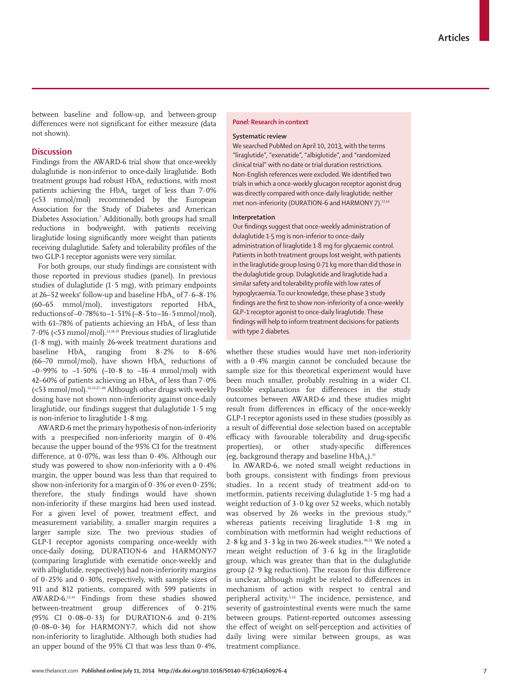between baseline and follow-up, and between-group differences were not significant for either measure (data not shown).

## **Discussion**

Findings from the AWARD-6 trial show that once-weekly dulaglutide is non-inferior to once-daily liraglutide. Both treatment groups had robust HbA<sub>1c</sub> reductions, with most patients achieving the  $HbA<sub>i</sub>$  target of less than 7.0% (<53 mmol/mol) recommended by the European Association for the Study of Diabetes and American Diabetes Association.7 Additionally, both groups had small reductions in bodyweight, with patients receiving liraglutide losing significantly more weight than patients receiving dulaglutide. Safety and tolerability profiles of the two GLP-1 receptor agonists were very similar.

For both groups, our study findings are consistent with those reported in previous studies (panel). In previous studies of dulaglutide  $(1.5 \text{ mg})$ , with primary endpoints at 26–52 weeks' follow-up and baseline  $HbA<sub>i</sub>$  of  $7.6-8.1\%$ (60–65 mmol/mol), investigators reported  $HbA_1$ reductions of –0·78% to –1·51% (–8·5 to –16·5 mmol/mol), with 61–78% of patients achieving an  $HbA<sub>i</sub>$  of less than 7·0% (<53 mmol/mol).13,18,19 Previous studies of liraglutide (1·8 mg), with mainly 26-week treatment durations and baseline  $HbA_i$  ranging from  $8.2\%$  to  $8.6\%$ (66–70 mmol/mol), have shown  $HbA_i$  reductions of –0·99% to –1·50% (–10·8 to –16·4 mmol/mol) with 42–60% of patients achieving an  $HbA<sub>1c</sub>$  of less than 7·0%  $\epsilon$  /<53 mmol/mol).<sup>12,14,27-30</sup> Although other drugs with weekly dosing have not shown non-inferiority against once-daily liraglutide, our findings suggest that dulaglutide  $1.5$  mg is non-inferior to liraglutide 1·8 mg.

AWARD-6 met the primary hypothesis of non-inferiority with a prespecified non-inferiority margin of  $0.4%$ because the upper bound of the 95% CI for the treatment difference, at  $0.07\%$ , was less than  $0.4\%$ . Although our study was powered to show non-inferiority with a 0·4% margin, the upper bound was less than that required to show non-inferiority for a margin of 0·3% or even 0·25%; therefore, the study findings would have shown non-inferiority if these margins had been used instead. For a given level of power, treatment effect, and measurement variability, a smaller margin requires a larger sample size. The two previous studies of GLP-1 receptor agonists comparing once-weekly with once-daily dosing, DURATION-6 and HARMONY-7 (comparing liraglutide with exenatide once-weekly and with albiglutide, respectively) had non-inferiority margins of 0·25% and 0·30%, respectively, with sample sizes of 911 and 812 patients, compared with 599 patients in AWARD-6.12,14 Findings from these studies showed between-treatment group differences of 0.21% (95% CI 0·08–0·33) for DURATION-6 and 0·21% (0·08–0·34) for HARMONY-7, which did not show non-inferiority to liraglutide. Although both studies had an upper bound of the 95% CI that was less than 0·4%,

# *Panel:* **Research in context**

# **Systematic review**

We searched PubMed on April 10, 2013, with the terms "liraglutide", "exenatide", "albiglutide", and "randomized clinical trial" with no date or trial duration restrictions. Non-English references were excluded. We identified two trials in which a once-weekly glucagon receptor agonist drug was directly compared with once-daily liraglutide; neither met non-inferiority (DURATION-6 and HARMONY 7).<sup>12,14</sup>

# **Interpretation**

Our findings suggest that once-weekly administration of dulaglutide 1·5 mg is non-inferior to once-daily administration of liraglutide 1·8 mg for glycaemic control. Patients in both treatment groups lost weight, with patients in the liraglutide group losing 0·71 kg more than did those in the dulaglutide group. Dulaglutide and liraglutide had a similar safety and tolerability profile with low rates of hypoglycaemia. To our knowledge, these phase 3 study findings are the first to show non-inferiority of a once-weekly GLP-1 receptor agonist to once-daily liraglutide. These findings will help to inform treatment decisions for patients with type 2 diabetes.

whether these studies would have met non-inferiority with a 0·4% margin cannot be concluded because the sample size for this theoretical experiment would have been much smaller, probably resulting in a wider CI. Possible explanations for differences in the study outcomes between AWARD-6 and these studies might result from differences in efficacy of the once-weekly GLP-1 receptor agonists used in these studies (possibly as a result of differential dose selection based on acceptable efficacy with favourable tolerability and drug-specific properties), or other study-specific differences (eg, background therapy and baseline  $HbA_{1c}$ ).<sup>31</sup>

In AWARD-6, we noted small weight reductions in both groups, consistent with findings from previous studies. In a recent study of treatment add-on to metformin, patients receiving dulaglutide 1·5 mg had a weight reduction of 3·0 kg over 52 weeks, which notably was observed by 26 weeks in the previous study.<sup>19</sup> whereas patients receiving liraglutide 1·8 mg in combination with metformin had weight reductions of 2 $\cdot$ 8 kg and 3 $\cdot$ 3 kg in two 26-week studies.<sup>30,32</sup> We noted a mean weight reduction of 3·6 kg in the liraglutide group, which was greater than that in the dulaglutide group  $(2.9 \text{ kg reduction})$ . The reason for this difference is unclear, although might be related to differences in mechanism of action with respect to central and peripheral activity.<sup>5,33</sup> The incidence, persistence, and severity of gastrointestinal events were much the same between groups. Patient-reported outcomes assessing the effect of weight on self-perception and activities of daily living were similar between groups, as was treatment compliance.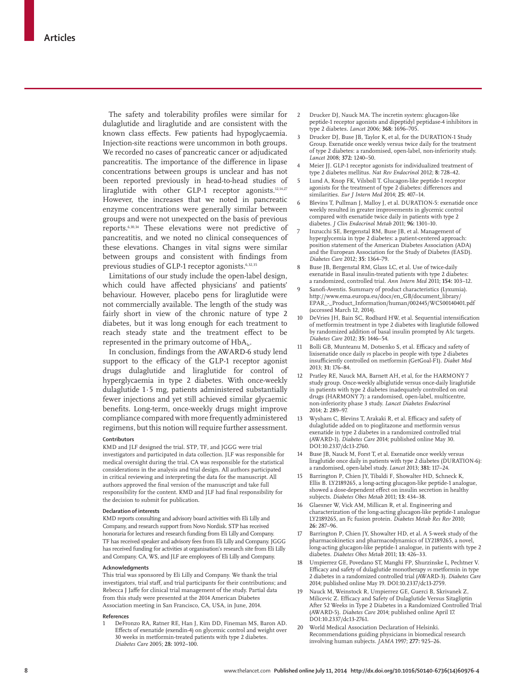The safety and tolerability profiles were similar for dulaglutide and liraglutide and are consistent with the known class effects. Few patients had hypoglycaemia. Injection-site reactions were uncommon in both groups. We recorded no cases of pancreatic cancer or adjudicated pancreatitis. The importance of the difference in lipase concentrations between groups is unclear and has not been reported previously in head-to-head studies of liraglutide with other GLP-1 receptor agonists.<sup>12,14,27</sup> However, the increases that we noted in pancreatic enzyme concentrations were generally similar between groups and were not unexpected on the basis of previous reports.6,10,34 These elevations were not predictive of pancreatitis, and we noted no clinical consequences of these elevations. Changes in vital signs were similar between groups and consistent with findings from previous studies of GLP-1 receptor agonists.<sup>6,32,35</sup>

Limitations of our study include the open-label design, which could have affected physicians' and patients' behaviour. However, placebo pens for liraglutide were not commercially available. The length of the study was fairly short in view of the chronic nature of type 2 diabetes, but it was long enough for each treatment to reach steady state and the treatment effect to be represented in the primary outcome of  $HbA<sub>1c</sub>$ .

In conclusion, findings from the AWARD-6 study lend support to the efficacy of the GLP-1 receptor agonist drugs dulaglutide and liraglutide for control of hyperglycaemia in type 2 diabetes. With once-weekly dulaglutide 1·5 mg, patients administered substantially fewer injections and yet still achieved similar glycaemic benefits. Long-term, once-weekly drugs might improve compliance compared with more frequently administered regimens, but this notion will require further assessment.

#### **Contributors**

KMD and JLF designed the trial. STP, TF, and JGGG were trial investigators and participated in data collection. JLF was responsible for medical oversight during the trial. CA was responsible for the statistical considerations in the analysis and trial design. All authors participated in critical reviewing and interpreting the data for the manuscript. All authors approved the final version of the manuscript and take full responsibility for the content. KMD and JLF had final responsibility for the decision to submit for publication.

#### **Declaration of interests**

KMD reports consulting and advisory board activities with Eli Lilly and Company, and research support from Novo Nordisk. STP has received honoraria for lectures and research funding from Eli Lilly and Company. TF has received speaker and advisory fees from Eli Lilly and Company. JGGG has received funding for activities at organisation's research site from Eli Lilly and Company. CA, WS, and JLF are employees of Eli Lilly and Company.

#### **Acknowledgments**

This trial was sponsored by Eli Lilly and Company. We thank the trial investigators, trial staff, and trial participants for their contributions; and Rebecca J Jaffe for clinical trial management of the study. Partial data from this study were presented at the 2014 American Diabetes Association meeting in San Francisco, CA, USA, in June, 2014.

#### **References**

1 DeFronzo RA, Ratner RE, Han J, Kim DD, Fineman MS, Baron AD. Effects of exenatide (exendin-4) on glycemic control and weight over 30 weeks in metformin-treated patients with type 2 diabetes. *Diabetes Care* 2005; **28:** 1092–100.

- 2 Drucker DJ, Nauck MA. The incretin system: glucagon-like peptide-1 receptor agonists and dipeptidyl peptidase-4 inhibitors in type 2 diabetes. *Lancet* 2006; **368:** 1696–705.
- Drucker DJ, Buse JB, Taylor K, et al, for the DURATION-1 Study Group. Exenatide once weekly versus twice daily for the treatment of type 2 diabetes: a randomised, open-label, non-inferiority study. *Lancet* 2008; **372:** 1240–50.
- Meier JJ. GLP-1 receptor agonists for individualized treatment of type 2 diabetes mellitus. *Nat Rev Endocrinol* 2012; **8:** 728–42.
- 5 Lund A, Knop FK, Vilsboll T. Glucagon-like peptide-1 receptor agonists for the treatment of type 2 diabetes: differences and similarities. *Eur J Intern Med* 2014; **25:** 407–14.
- Blevins T, Pullman J, Malloy J, et al. DURATION-5: exenatide once weekly resulted in greater improvements in glycemic control compared with exenatide twice daily in patients with type 2 diabetes. *J Clin Endocrinol Metab* 2011; **96:** 1301–10.
- 7 Inzucchi SE, Bergenstal RM, Buse JB, et al. Management of hyperglycemia in type 2 diabetes: a patient-centered approach: position statement of the American Diabetes Association (ADA) and the European Association for the Study of Diabetes (EASD). *Diabetes Care* 2012; **35:** 1364–79.
- Buse JB, Bergenstal RM, Glass LC, et al. Use of twice-daily exenatide in Basal insulin-treated patients with type 2 diabetes: a randomized, controlled trial. *Ann Intern Med* 2011; **154:** 103–12.
- Sanofi-Aventis. Summary of product characteristics (Lyxumia). http://www.ema.europa.eu/docs/en\_GB/document\_library/ EPAR\_-\_Product\_Information/human/002445/WC500140401.pdf (accessed March 12, 2014).
- 10 DeVries JH, Bain SC, Rodbard HW, et al. Sequential intensification of metformin treatment in type 2 diabetes with liraglutide followed by randomized addition of basal insulin prompted by A1c targets. *Diabetes Care* 2012; **35:** 1446–54.
- Bolli GB, Munteanu M, Dotsenko S, et al. Efficacy and safety of lixisenatide once daily *vs* placebo in people with type 2 diabetes insufficiently controlled on metformin (GetGoal-F1). Diabet Med 2013; **31:** 176–84.
- 12 Pratley RE, Nauck MA, Barnett AH, et al, for the HARMONY 7 study group. Once-weekly albiglutide versus once-daily liraglutide in patients with type 2 diabetes inadequately controlled on oral drugs (HARMONY 7): a randomised, open-label, multicentre, non-inferiority phase 3 study. *Lancet Diabetes Endocrinol* 2014; **2:** 289–97.
- 13 Wysham C, Blevins T, Arakaki R, et al. Efficacy and safety of dulaglutide added on to pioglitazone and metformin versus exenatide in type 2 diabetes in a randomized controlled trial (AWARD-1). *Diabetes Care* 2014; published online May 30. DOI:10.2337/dc13-2760.
- 14 Buse JB, Nauck M, Forst T, et al. Exenatide once weekly versus liraglutide once daily in patients with type 2 diabetes (DURATION-6): a randomised, open-label study. *Lancet* 2013; **381:** 117–24.
- Barrington P, Chien JY, Tibaldi F, Showalter HD, Schneck K, Ellis B. LY2189265, a long-acting glucagon-like peptide-1 analogue, showed a dose-dependent effect on insulin secretion in healthy subjects. *Diabetes Obes Metab* 2011; **13:** 434–38.
- 16 Glaesner W, Vick AM, Millican R, et al. Engineering and characterization of the long-acting glucagon-like peptide-1 analogue LY2189265, an Fc fusion protein. *Diabetes Metab Res Rev* 2010; **26:** 287–96.
- 17 Barrington P, Chien JY, Showalter HD, et al. A 5-week study of the pharmacokinetics and pharmacodynamics of LY2189265, a novel, long-acting glucagon-like peptide-1 analogue, in patients with type 2 diabetes. *Diabetes Obes Metab* 2011; **13:** 426–33.
- 18 Umpierrez GE, Povedano ST, Manghi FP, Shurzinske L, Pechtner V. Efficacy and safety of dulaglutide monotherapy *vs* metformin in type 2 diabetes in a randomized controlled trial (AWARD-3). *Diabetes Care* 2014; published online May 19. DOI:10.2337/dc13-2759.
- 19 Nauck M, Weinstock R, Umpierrez GE, Guerci B, Skrivanek Z, Milicevic Z. Efficacy and Safety of Dulaglutide Versus Sitagliptin After 52 Weeks in Type 2 Diabetes in a Randomized Controlled Trial (AWARD-5). *Diabetes Care* 2014; published online April 17. DOI:10.2337/dc13-2761.
- 20 World Medical Association Declaration of Helsinki. Recommendations guiding physicians in biomedical research involving human subjects. *JAMA* 1997; **277:** 925–26.